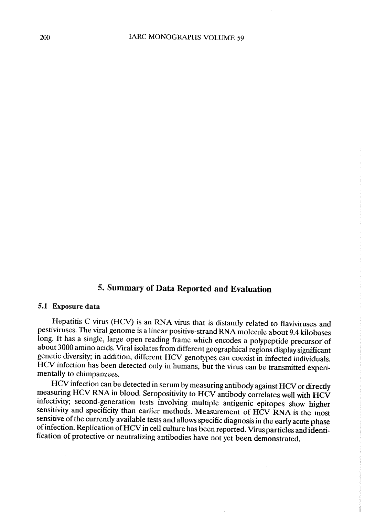## 5. Summary of Data Reported and Evaluation

#### 5.1 Exposure data

Hepatitis C virus (HCV) is an RNA virus that is distantly related to fIaviviruses and pestiviruses. The viral genome is a linear positive-strand RNA molecule about 9.4 kilobases long. It has a single, large open reading frame which encodes a polypeptide precursor of about 3000 amino acids. Viral isolates from different geographical regions display significant genetic diversity; in addition, different HCV genotypes can coexist in infected individuals. HCV infection has been detected only in humans, but the virus can be transmitted experimentally to chimpanzees.

HCV infection can be detected in serum by measuring antibody against HCV or directly measuring HCV RNA in blood. Seropositivity to HCV antibody correlates well with HCV infectivity; second-generation tests involving multiple antigenic epitopes show higher sensitivity and specificity than earlier methods. Measurement of HCV RNA is the most sensitive of the currently available tests and allows specific diagnosis in the earlyacute phase of infection. Replication of HCV in ceII culture has been reported. Virus particles and identification of protective or neutralizing antibodies have not yet been demonstrated.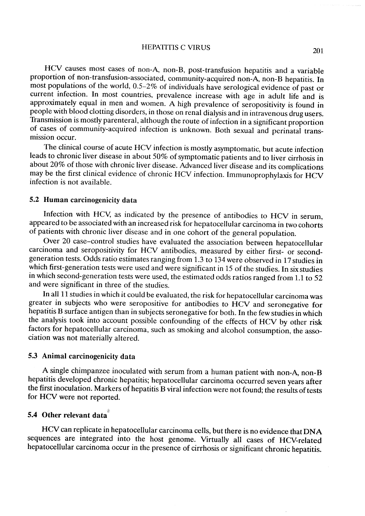HEPATITIS C VIRUS 201

HCV causes most cases of non-A, non-B, post-transfusion hepatitis and a variable proportion of non-transfusion-associated, community-acquired non-A, non-B hepatitis. ln most populations of the world, 0.5-2% of individuals have serological evidence of past or current infection. ln most countries, prevalence increase with age in adult life and is approximately equal in men and women. A high prevalence of seropositivity is found in people with blood clotting disorders, in those on renal dialysis and in intravenous drug users. Transmission is mostly parenteral, although the route of infection in a significant proportion of cases of community-acquired infection is unknown. Both sexual and perinatal transmission occur.

The clinical course of acute HCV infection is mostly asymptomatic, but acute infection leads to chronic liver disease in about 50% of symptomatic patients and to liver cirrhosis in about 20% of those with chronic liver disease. Advanced Iiver disease and its complications may be the first clinical evidence of chronic HCV infection. Immunoprophylaxis for HCV infection is not available.

#### 5.2 Human carcinogenicity data

Infection with HCV, as indicated by the presence of antibodies to HCV in serum, appeared to be associated with an increased risk for hepatoceIIular carcinoma in two cohorts of patients with chronic liver disease and in one cohort of the general population.

Over 20 case-control studies have evaluated the association between hepatocellular carcinoma and seropositivity for HCV antibodies, measured by either first- or secondgeneration tests. Odds ratio estimates ranging from 1.3 to 134 were observed in 17 studies in which first-generation tests were used and were significant in 15 of the studies. In six studies in which second-generation tests were used, the estimated odds ratios ranged from 1.1 to 52 and were significant in three of the studies.

In all 11 studies in which it could be evaluated, the risk for hepatocellular carcinoma was greater in subjects who were seropositive for antibodies to HCV and seronegative for hepatitis B surface antigen than in subjects seronegative for both. ln the few studies in which the analysis took into account possible confounding of the effects of HCV by other risk factors for hepatocellular carcinoma, such as smoking and alcohol consumption, the association was not materially altered.

#### 5.3 Animal carcinogenicity data

A single chimpanzee inoculated with serum from a human patient with non-A, non-B hepatitis developed chronic hepatitis; hepatoceIIular carcinoma occurred seven years after the first inoculation. Markers of hepatitis B viral infection were not found; the results of tests for HCV were not reported.

# 5.4 Other relevant data $\stackrel{\hspace{0.1em}\text{\tiny{\tiny{\#}}}}{\text{\tiny{}}}\n$

HCV can replicate in hepatoceIIular carcinoma ceIls, but there is no evidence that DNA sequences are integrated into the host genome. VirtuaIly aIl cases of HCV-related hepatocellular carcinoma occur in the presence of cirrhosis or significant chronic hepatitis.